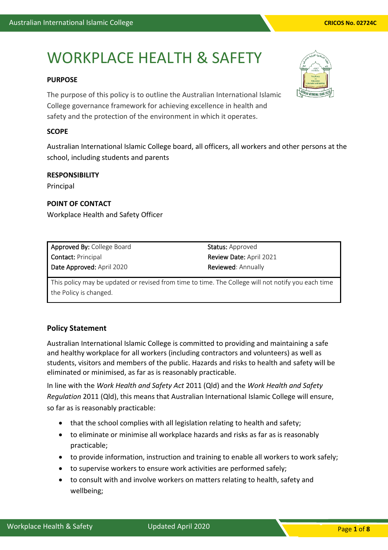# WORKPLACE HEALTH & SAFETY

#### **PURPOSE**

The purpose of this policy is to outline the Australian International Islamic College governance framework for achieving excellence in health and safety and the protection of the environment in which it operates.

#### **SCOPE**

Australian International Islamic College board, all officers, all workers and other persons at the school, including students and parents

#### **RESPONSIBILITY**

Principal

#### **POINT OF CONTACT**

Workplace Health and Safety Officer

| Approved By: College Board | <b>Status:</b> Approved        |
|----------------------------|--------------------------------|
| <b>Contact: Principal</b>  | <b>Review Date: April 2021</b> |
| Date Approved: April 2020  | <b>Reviewed:</b> Annually      |

This policy may be updated or revised from time to time. The College will not notify you each time the Policy is changed.

### **Policy Statement**

Australian International Islamic College is committed to providing and maintaining a safe and healthy workplace for all workers (including contractors and volunteers) as well as students, visitors and members of the public. Hazards and risks to health and safety will be eliminated or minimised, as far as is reasonably practicable.

In line with the *Work Health and Safety Act* 2011 (Qld) and the *Work Health and Safety Regulation* 2011 (Qld), this means that Australian International Islamic College will ensure, so far as is reasonably practicable:

- that the school complies with all legislation relating to health and safety;
- to eliminate or minimise all workplace hazards and risks as far as is reasonably practicable;
- to provide information, instruction and training to enable all workers to work safely;
- to supervise workers to ensure work activities are performed safely;
- to consult with and involve workers on matters relating to health, safety and wellbeing;

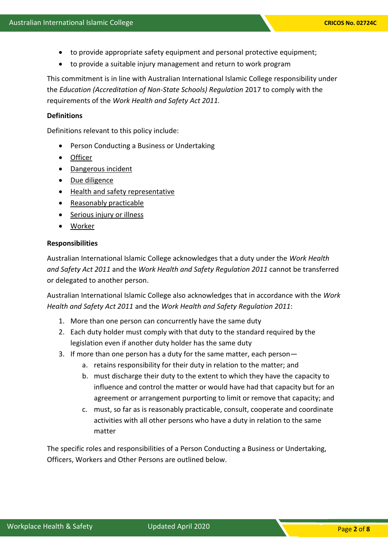- to provide appropriate safety equipment and personal protective equipment;
- to provide a suitable injury management and return to work program

This commitment is in line with Australian International Islamic College responsibility under the *Education (Accreditation of Non-State Schools) Regulation* 2017 to comply with the requirements of the *Work Health and Safety Act 2011.*

#### **Definitions**

Definitions relevant to this policy include:

- Person Conducting a Business or Undertaking
- Officer
- Dangerous incident
- [Due diligence](https://www.worksafe.qld.gov.au/laws-and-compliance/workplace-health-and-safety-laws/due-diligence)
- [Health and safety representative](https://www.worksafe.qld.gov.au/injury-prevention-safety/managing-risks/health-and-safety-representatives-and-health-and-safety-committees)
- [Reasonably practicable](https://www.worksafe.qld.gov.au/laws-and-compliance/workplace-health-and-safety-laws/definitions)
- [Serious injury or illness](https://www.worksafe.qld.gov.au/injury-prevention-safety/injury-prevention-and-safety/what-is-an-incident#injury)
- Worker

#### **Responsibilities**

Australian International Islamic College acknowledges that a duty under the *Work Health and Safety Act 2011* and the *Work Health and Safety Regulation 2011* cannot be transferred or delegated to another person.

Australian International Islamic College also acknowledges that in accordance with the *Work Health and Safety Act 2011* and the *Work Health and Safety Regulation 2011*:

- 1. More than one person can concurrently have the same duty
- 2. Each duty holder must comply with that duty to the standard required by the legislation even if another duty holder has the same duty
- 3. If more than one person has a duty for the same matter, each person
	- a. retains responsibility for their duty in relation to the matter; and
	- b. must discharge their duty to the extent to which they have the capacity to influence and control the matter or would have had that capacity but for an agreement or arrangement purporting to limit or remove that capacity; and
	- c. must, so far as is reasonably practicable, consult, cooperate and coordinate activities with all other persons who have a duty in relation to the same matter

The specific roles and responsibilities of a Person Conducting a Business or Undertaking, Officers, Workers and Other Persons are outlined below.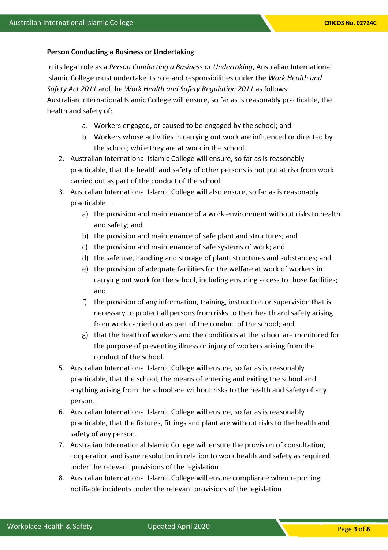#### **Person Conducting a Business or Undertaking**

In its legal role as a *Person Conducting a Business or Undertaking*, Australian International Islamic College must undertake its role and responsibilities under the *Work Health and Safety Act 2011* and the *Work Health and Safety Regulation 2011* as follows: Australian International Islamic College will ensure, so far as is reasonably practicable, the health and safety of:

- a. Workers engaged, or caused to be engaged by the school; and
- b. Workers whose activities in carrying out work are influenced or directed by the school; while they are at work in the school.
- 2. Australian International Islamic College will ensure, so far as is reasonably practicable, that the health and safety of other persons is not put at risk from work carried out as part of the conduct of the school.
- 3. Australian International Islamic College will also ensure, so far as is reasonably practicable
	- a) the provision and maintenance of a work environment without risks to health and safety; and
	- b) the provision and maintenance of safe plant and structures; and
	- c) the provision and maintenance of safe systems of work; and
	- d) the safe use, handling and storage of plant, structures and substances; and
	- e) the provision of adequate facilities for the welfare at work of workers in carrying out work for the school, including ensuring access to those facilities; and
	- f) the provision of any information, training, instruction or supervision that is necessary to protect all persons from risks to their health and safety arising from work carried out as part of the conduct of the school; and
	- g) that the health of workers and the conditions at the school are monitored for the purpose of preventing illness or injury of workers arising from the conduct of the school.
- 5. Australian International Islamic College will ensure, so far as is reasonably practicable, that the school, the means of entering and exiting the school and anything arising from the school are without risks to the health and safety of any person.
- 6. Australian International Islamic College will ensure, so far as is reasonably practicable, that the fixtures, fittings and plant are without risks to the health and safety of any person.
- 7. Australian International Islamic College will ensure the provision of consultation, cooperation and issue resolution in relation to work health and safety as required under the relevant provisions of the legislation
- 8. Australian International Islamic College will ensure compliance when reporting notifiable incidents under the relevant provisions of the legislation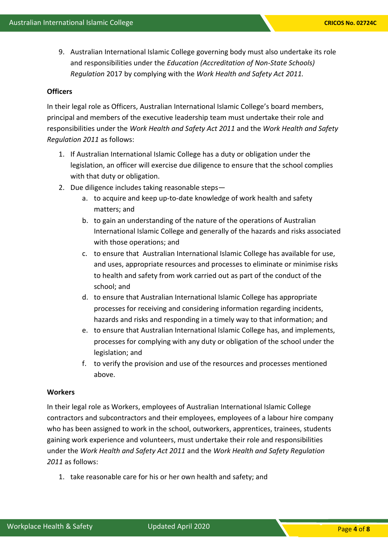Workplace Health & Safety Updated April 2020

9. Australian International Islamic College governing body must also undertake its role and responsibilities under the *Education (Accreditation of Non-State Schools) Regulation* 2017 by complying with the *Work Health and Safety Act 2011.*

#### **Officers**

In their legal role as Officers, Australian International Islamic College's board members, principal and members of the executive leadership team must undertake their role and responsibilities under the *Work Health and Safety Act 2011* and the *Work Health and Safety Regulation 2011* as follows:

- 1. If Australian International Islamic College has a duty or obligation under the legislation, an officer will exercise due diligence to ensure that the school complies with that duty or obligation.
- 2. Due diligence includes taking reasonable steps
	- a. to acquire and keep up-to-date knowledge of work health and safety matters; and
	- b. to gain an understanding of the nature of the operations of Australian International Islamic College and generally of the hazards and risks associated with those operations; and
	- c. to ensure that Australian International Islamic College has available for use, and uses, appropriate resources and processes to eliminate or minimise risks to health and safety from work carried out as part of the conduct of the school; and
	- d. to ensure that Australian International Islamic College has appropriate processes for receiving and considering information regarding incidents, hazards and risks and responding in a timely way to that information; and
	- e. to ensure that Australian International Islamic College has, and implements, processes for complying with any duty or obligation of the school under the legislation; and
	- f. to verify the provision and use of the resources and processes mentioned above.

#### **Workers**

In their legal role as Workers, employees of Australian International Islamic College contractors and subcontractors and their employees, employees of a labour hire company who has been assigned to work in the school, outworkers, apprentices, trainees, students gaining work experience and volunteers, must undertake their role and responsibilities under the *Work Health and Safety Act 2011* and the *Work Health and Safety Regulation 2011* as follows:

1. take reasonable care for his or her own health and safety; and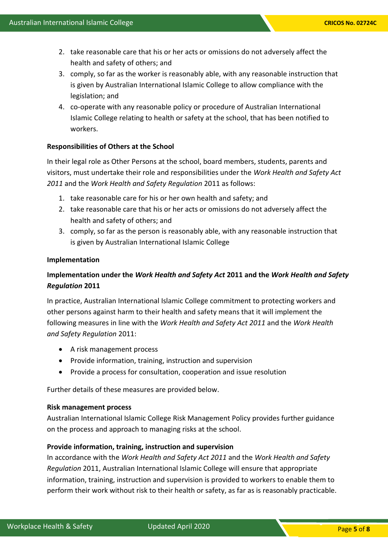- 2. take reasonable care that his or her acts or omissions do not adversely affect the health and safety of others; and
- 3. comply, so far as the worker is reasonably able, with any reasonable instruction that is given by Australian International Islamic College to allow compliance with the legislation; and
- 4. co-operate with any reasonable policy or procedure of Australian International Islamic College relating to health or safety at the school, that has been notified to workers.

#### **Responsibilities of Others at the School**

In their legal role as Other Persons at the school, board members, students, parents and visitors, must undertake their role and responsibilities under the *Work Health and Safety Act 2011* and the *Work Health and Safety Regulation* 2011 as follows:

- 1. take reasonable care for his or her own health and safety; and
- 2. take reasonable care that his or her acts or omissions do not adversely affect the health and safety of others; and
- 3. comply, so far as the person is reasonably able, with any reasonable instruction that is given by Australian International Islamic College

#### **Implementation**

## **Implementation under the** *Work Health and Safety Act* **2011 and the** *Work Health and Safety Regulation* **2011**

In practice, Australian International Islamic College commitment to protecting workers and other persons against harm to their health and safety means that it will implement the following measures in line with the *Work Health and Safety Act 2011* and the *Work Health and Safety Regulation* 2011:

- A risk management process
- Provide information, training, instruction and supervision
- Provide a process for consultation, cooperation and issue resolution

Further details of these measures are provided below.

#### **Risk management process**

Australian International Islamic College Risk Management Policy provides further guidance on the process and approach to managing risks at the school.

#### **Provide information, training, instruction and supervision**

In accordance with the *Work Health and Safety Act 2011* and the *Work Health and Safety Regulation* 2011, Australian International Islamic College will ensure that appropriate information, training, instruction and supervision is provided to workers to enable them to perform their work without risk to their health or safety, as far as is reasonably practicable.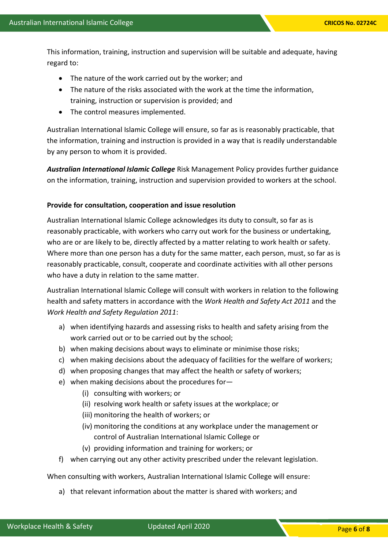This information, training, instruction and supervision will be suitable and adequate, having regard to:

- The nature of the work carried out by the worker; and
- The nature of the risks associated with the work at the time the information, training, instruction or supervision is provided; and
- The control measures implemented.

Australian International Islamic College will ensure, so far as is reasonably practicable, that the information, training and instruction is provided in a way that is readily understandable by any person to whom it is provided.

*Australian International Islamic College* Risk Management Policy provides further guidance on the information, training, instruction and supervision provided to workers at the school.

#### **Provide for consultation, cooperation and issue resolution**

Australian International Islamic College acknowledges its duty to consult, so far as is reasonably practicable, with workers who carry out work for the business or undertaking, who are or are likely to be, directly affected by a matter relating to work health or safety. Where more than one person has a duty for the same matter, each person, must, so far as is reasonably practicable, consult, cooperate and coordinate activities with all other persons who have a duty in relation to the same matter.

Australian International Islamic College will consult with workers in relation to the following health and safety matters in accordance with the *Work Health and Safety Act 2011* and the *Work Health and Safety Regulation 2011*:

- a) when identifying hazards and assessing risks to health and safety arising from the work carried out or to be carried out by the school;
- b) when making decisions about ways to eliminate or minimise those risks;
- c) when making decisions about the adequacy of facilities for the welfare of workers;
- d) when proposing changes that may affect the health or safety of workers;
- e) when making decisions about the procedures for—
	- (i) consulting with workers; or
	- (ii) resolving work health or safety issues at the workplace; or
	- (iii) monitoring the health of workers; or
	- (iv) monitoring the conditions at any workplace under the management or control of Australian International Islamic College or
	- (v) providing information and training for workers; or
- f) when carrying out any other activity prescribed under the relevant legislation.

When consulting with workers, Australian International Islamic College will ensure:

a) that relevant information about the matter is shared with workers; and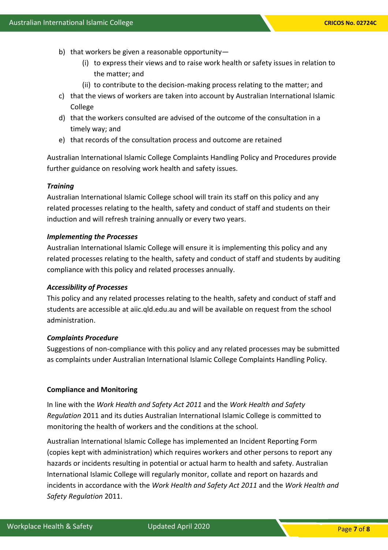- b) that workers be given a reasonable opportunity—
	- (i) to express their views and to raise work health or safety issues in relation to the matter; and
	- (ii) to contribute to the decision-making process relating to the matter; and
- c) that the views of workers are taken into account by Australian International Islamic College
- d) that the workers consulted are advised of the outcome of the consultation in a timely way; and
- e) that records of the consultation process and outcome are retained

Australian International Islamic College Complaints Handling Policy and Procedures provide further guidance on resolving work health and safety issues.

#### *Training*

Australian International Islamic College school will train its staff on this policy and any related processes relating to the health, safety and conduct of staff and students on their induction and will refresh training annually or every two years.

#### *Implementing the Processes*

Australian International Islamic College will ensure it is implementing this policy and any related processes relating to the health, safety and conduct of staff and students by auditing compliance with this policy and related processes annually.

#### *Accessibility of Processes*

This policy and any related processes relating to the health, safety and conduct of staff and students are accessible at aiic.qld.edu.au and will be available on request from the school administration.

#### *Complaints Procedure*

Suggestions of non-compliance with this policy and any related processes may be submitted as complaints under Australian International Islamic College Complaints Handling Policy.

#### **Compliance and Monitoring**

In line with the *Work Health and Safety Act 2011* and the *Work Health and Safety Regulation* 2011 and its duties Australian International Islamic College is committed to monitoring the health of workers and the conditions at the school.

Australian International Islamic College has implemented an Incident Reporting Form (copies kept with administration) which requires workers and other persons to report any hazards or incidents resulting in potential or actual harm to health and safety. Australian International Islamic College will regularly monitor, collate and report on hazards and incidents in accordance with the *Work Health and Safety Act 2011* and the *Work Health and Safety Regulation* 2011.